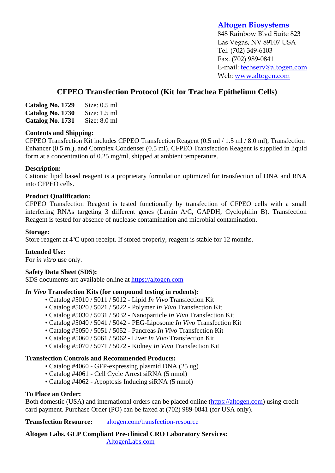# **Altogen Biosystems**

848 Rainbow Blvd Suite 823 Las Vegas, NV 89107 USA Tel. (702) 349-6103 Fax. (702) 989-0841 E-mail: techserv@altogen.com Web: www.altogen.com

# **CFPEO Transfection Protocol (Kit for Trachea Epithelium Cells)**

| Catalog No. 1729 | Size: $0.5$ ml |
|------------------|----------------|
| Catalog No. 1730 | Size: $1.5$ ml |
| Catalog No. 1731 | Size: $8.0$ ml |

## **Contents and Shipping:**

CFPEO Transfection Kit includes CFPEO Transfection Reagent (0.5 ml / 1.5 ml / 8.0 ml), Transfection Enhancer (0.5 ml), and Complex Condenser (0.5 ml). CFPEO Transfection Reagent is supplied in liquid form at a concentration of 0.25 mg/ml, shipped at ambient temperature.

## **Description:**

Cationic lipid based reagent is a proprietary formulation optimized for transfection of DNA and RNA into CFPEO cells.

#### **Product Qualification:**

CFPEO Transfection Reagent is tested functionally by transfection of CFPEO cells with a small interfering RNAs targeting 3 different genes (Lamin A/C, GAPDH, Cyclophilin B). Transfection Reagent is tested for absence of nuclease contamination and microbial contamination.

#### **Storage:**

Store reagent at 4ºC upon receipt. If stored properly, reagent is stable for 12 months.

#### **Intended Use:**

For *in vitro* use only.

#### **Safety Data Sheet (SDS):**

SDS documents are available online at https://altogen.com

## *In Vivo* **Transfection Kits (for compound testing in rodents):**

- Catalog #5010 / 5011 / 5012 Lipid *In Vivo* Transfection Kit
- Catalog #5020 / 5021 / 5022 Polymer *In Vivo* Transfection Kit
- Catalog #5030 / 5031 / 5032 Nanoparticle *In Vivo* Transfection Kit
- Catalog #5040 / 5041 / 5042 PEG-Liposome *In Vivo* Transfection Kit
- Catalog #5050 / 5051 / 5052 Pancreas *In Vivo* Transfection Kit
- Catalog #5060 / 5061 / 5062 Liver *In Vivo* Transfection Kit
- Catalog #5070 / 5071 / 5072 Kidney *In Vivo* Transfection Kit

## **Transfection Controls and Recommended Products:**

- Catalog #4060 GFP-expressing plasmid DNA (25 ug)
- Catalog #4061 Cell Cycle Arrest siRNA (5 nmol)
- Catalog #4062 Apoptosis Inducing siRNA (5 nmol)

## **To Place an Order:**

Both domestic (USA) and international orders can be placed online (https://altogen.com) using credit card payment. Purchase Order (PO) can be faxed at (702) 989-0841 (for USA only).

**Transfection Resource:** altogen.com/transfection-resource

**Altogen Labs. GLP Compliant Pre-clinical CRO Laboratory Services:**  AltogenLabs.com